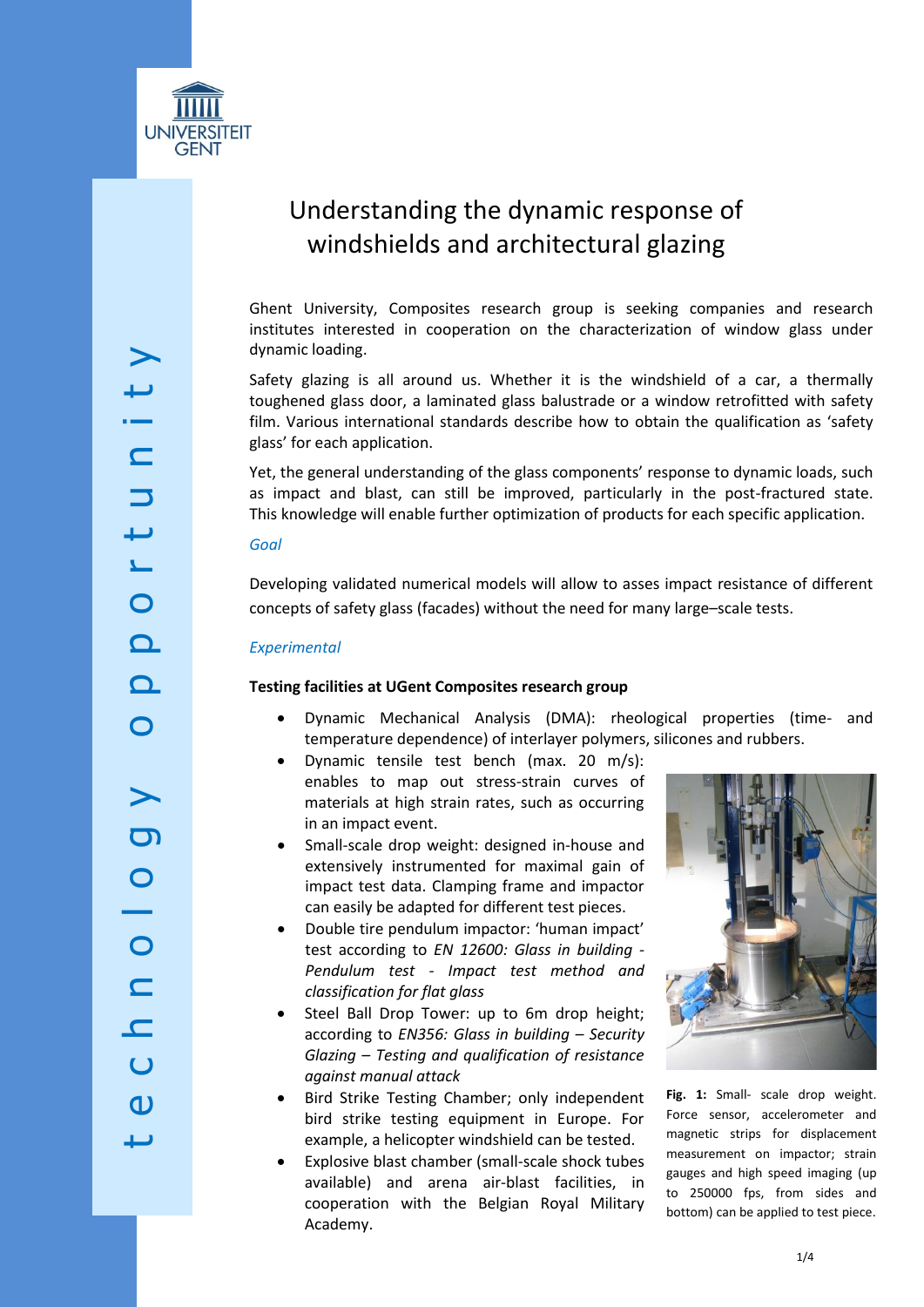

# Understanding the dynamic response of windshields and architectural glazing

Ghent University, Composites research group is seeking companies and research institutes interested in cooperation on the characterization of window glass under dynamic loading.

Safety glazing is all around us. Whether it is the windshield of a car, a thermally toughened glass door, a laminated glass balustrade or a window retrofitted with safety film. Various international standards describe how to obtain the qualification as 'safety glass' for each application.

Yet, the general understanding of the glass components' response to dynamic loads, such as impact and blast, can still be improved, particularly in the post-fractured state. This knowledge will enable further optimization of products for each specific application.

#### *Goal*

Developing validated numerical models will allow to asses impact resistance of different concepts of safety glass (facades) without the need for many large–scale tests.

## *Experimental*

## **Testing facilities at UGent Composites research group**

- Dynamic Mechanical Analysis (DMA): rheological properties (time- and temperature dependence) of interlayer polymers, silicones and rubbers.
- Dynamic tensile test bench (max. 20 m/s): enables to map out stress-strain curves of materials at high strain rates, such as occurring in an impact event.
- Small-scale drop weight: designed in-house and extensively instrumented for maximal gain of impact test data. Clamping frame and impactor can easily be adapted for different test pieces.
- Double tire pendulum impactor: 'human impact' test according to *EN 12600: Glass in building - Pendulum test - Impact test method and classification for flat glass*
- Steel Ball Drop Tower: up to 6m drop height; according to *EN356: Glass in building – Security Glazing – Testing and qualification of resistance against manual attack*
- Bird Strike Testing Chamber; only independent bird strike testing equipment in Europe. For example, a helicopter windshield can be tested.
- Explosive blast chamber (small-scale shock tubes available) and arena air-blast facilities, in cooperation with the Belgian Royal Military Academy.



**Fig. 1:** Small- scale drop weight. Force sensor, accelerometer and magnetic strips for displacement measurement on impactor; strain gauges and high speed imaging (up to 250000 fps, from sides and bottom) can be applied to test piece.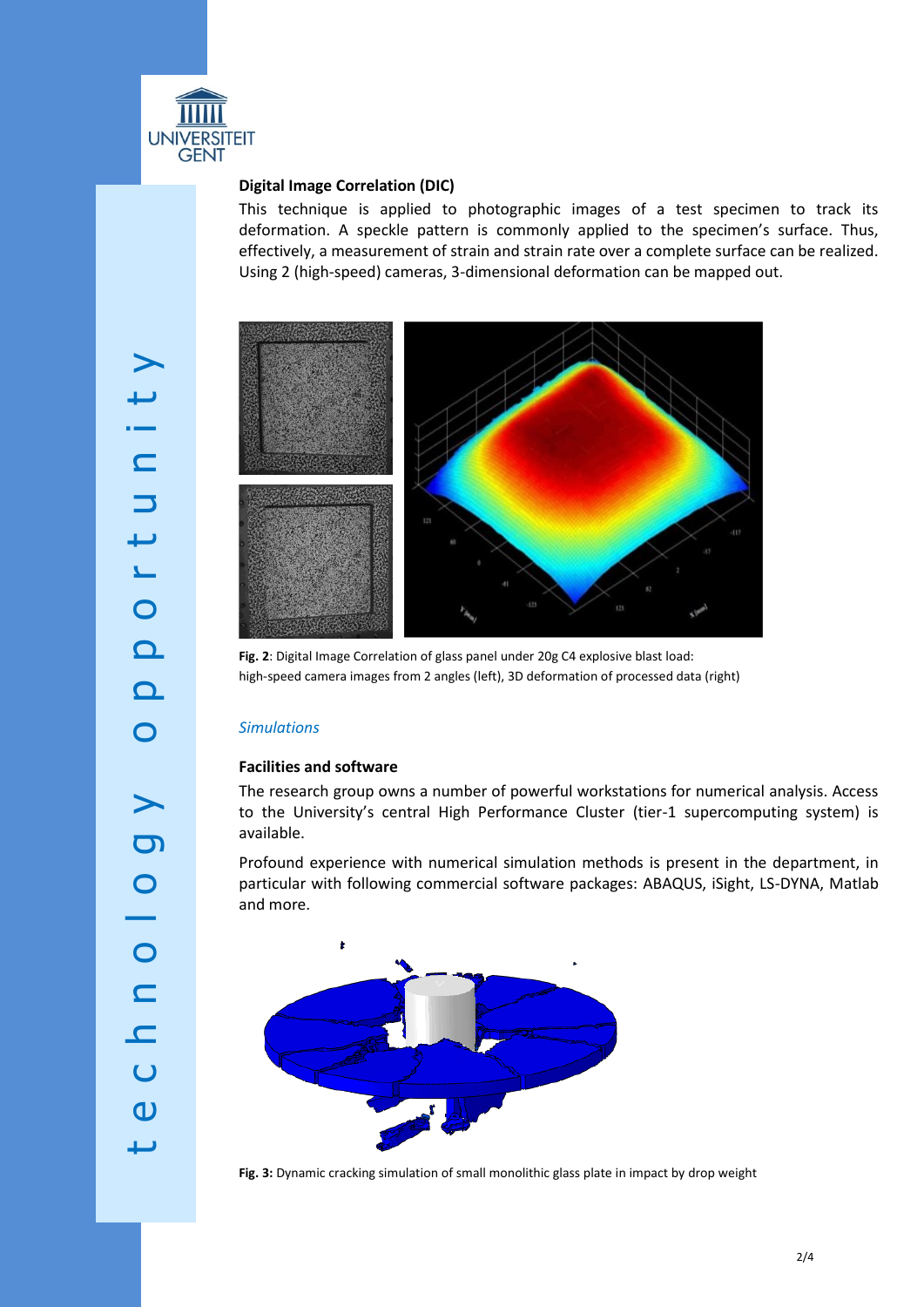

## **Digital Image Correlation (DIC)**

This technique is applied to photographic images of a test specimen to track its deformation. A speckle pattern is commonly applied to the specimen's surface. Thus, effectively, a measurement of strain and strain rate over a complete surface can be realized. Using 2 (high-speed) cameras, 3-dimensional deformation can be mapped out.



**Fig. 2**: Digital Image Correlation of glass panel under 20g C4 explosive blast load: high-speed camera images from 2 angles (left), 3D deformation of processed data (right)

## *Simulations*

## **Facilities and software**

The research group owns a number of powerful workstations for numerical analysis. Access to the University's central High Performance Cluster (tier-1 supercomputing system) is available.

Profound experience with numerical simulation methods is present in the department, in particular with following commercial software packages: ABAQUS, iSight, LS-DYNA, Matlab and more.



**Fig. 3:** Dynamic cracking simulation of small monolithic glass plate in impact by drop weight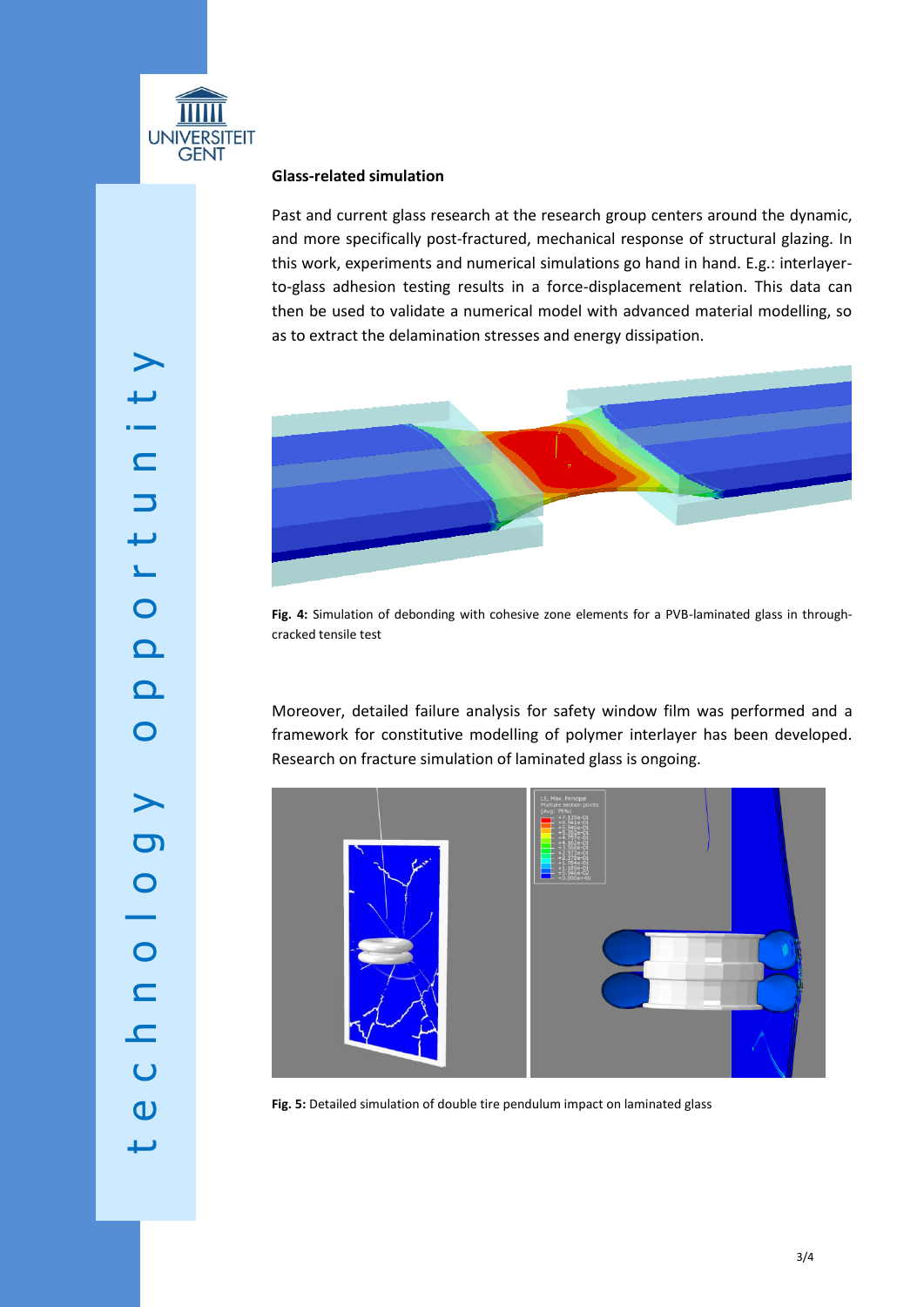

## **Glass-related simulation**

Past and current glass research at the research group centers around the dynamic, and more specifically post-fractured, mechanical response of structural glazing. In this work, experiments and numerical simulations go hand in hand. E.g.: interlayerto-glass adhesion testing results in a force-displacement relation. This data can then be used to validate a numerical model with advanced material modelling, so as to extract the delamination stresses and energy dissipation.



**Fig. 4:** Simulation of debonding with cohesive zone elements for a PVB-laminated glass in throughcracked tensile test

Moreover, detailed failure analysis for safety window film was performed and a framework for constitutive modelling of polymer interlayer has been developed. Research on fracture simulation of laminated glass is ongoing.



**Fig. 5:** Detailed simulation of double tire pendulum impact on laminated glass